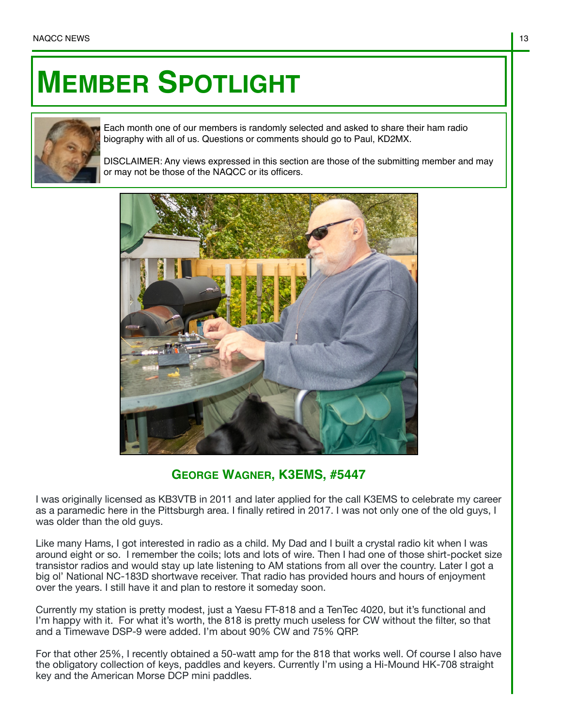## **MEMBER SPOTLIGHT**



Each month one of our members is randomly selected and asked to share their ham radio biography with all of us. Questions or comments should go to Paul, KD2MX.

DISCLAIMER: Any views expressed in this section are those of the submitting member and may or may not be those of the NAQCC or its officers.



## **GEORGE WAGNER, K3EMS, #5447**

I was originally licensed as KB3VTB in 2011 and later applied for the call K3EMS to celebrate my career as a paramedic here in the Pittsburgh area. I finally retired in 2017. I was not only one of the old guys, I was older than the old guys.

Like many Hams, I got interested in radio as a child. My Dad and I built a crystal radio kit when I was around eight or so. I remember the coils; lots and lots of wire. Then I had one of those shirt-pocket size transistor radios and would stay up late listening to AM stations from all over the country. Later I got a big ol' National NC-183D shortwave receiver. That radio has provided hours and hours of enjoyment over the years. I still have it and plan to restore it someday soon.

Currently my station is pretty modest, just a Yaesu FT-818 and a TenTec 4020, but it's functional and I'm happy with it. For what it's worth, the 818 is pretty much useless for CW without the filter, so that and a Timewave DSP-9 were added. I'm about 90% CW and 75% QRP.

For that other 25%, I recently obtained a 50-watt amp for the 818 that works well. Of course I also have the obligatory collection of keys, paddles and keyers. Currently I'm using a Hi-Mound HK-708 straight key and the American Morse DCP mini paddles.